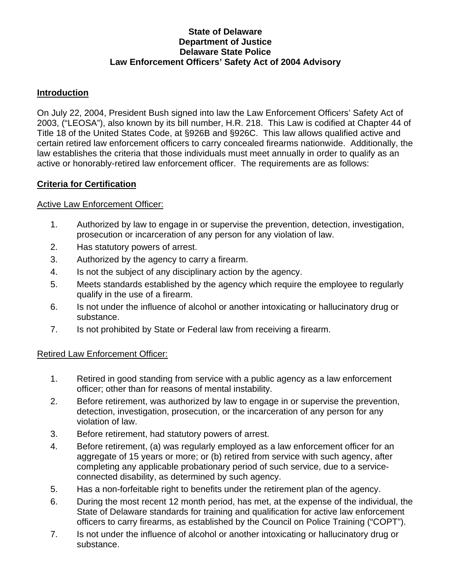### **State of Delaware Department of Justice Delaware State Police Law Enforcement Officers' Safety Act of 2004 Advisory**

### **Introduction**

On July 22, 2004, President Bush signed into law the Law Enforcement Officers' Safety Act of 2003, ("LEOSA"), also known by its bill number, H.R. 218. This Law is codified at Chapter 44 of Title 18 of the United States Code, at §926B and §926C. This law allows qualified active and certain retired law enforcement officers to carry concealed firearms nationwide. Additionally, the law establishes the criteria that those individuals must meet annually in order to qualify as an active or honorably-retired law enforcement officer. The requirements are as follows:

## **Criteria for Certification**

## Active Law Enforcement Officer:

- 1. Authorized by law to engage in or supervise the prevention, detection, investigation, prosecution or incarceration of any person for any violation of law.
- 2. Has statutory powers of arrest.
- 3. Authorized by the agency to carry a firearm.
- 4. Is not the subject of any disciplinary action by the agency.
- 5. Meets standards established by the agency which require the employee to regularly qualify in the use of a firearm.
- 6. Is not under the influence of alcohol or another intoxicating or hallucinatory drug or substance.
- 7. Is not prohibited by State or Federal law from receiving a firearm.

#### Retired Law Enforcement Officer:

- 1. Retired in good standing from service with a public agency as a law enforcement officer; other than for reasons of mental instability.
- 2. Before retirement, was authorized by law to engage in or supervise the prevention, detection, investigation, prosecution, or the incarceration of any person for any violation of law.
- 3. Before retirement, had statutory powers of arrest.
- 4. Before retirement, (a) was regularly employed as a law enforcement officer for an aggregate of 15 years or more; or (b) retired from service with such agency, after completing any applicable probationary period of such service, due to a serviceconnected disability, as determined by such agency.
- 5. Has a non-forfeitable right to benefits under the retirement plan of the agency.
- 6. During the most recent 12 month period, has met, at the expense of the individual, the State of Delaware standards for training and qualification for active law enforcement officers to carry firearms, as established by the Council on Police Training ("COPT").
- 7. Is not under the influence of alcohol or another intoxicating or hallucinatory drug or substance.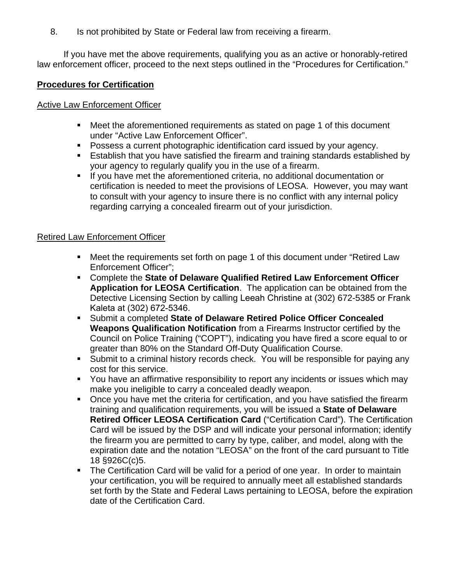8. Is not prohibited by State or Federal law from receiving a firearm.

If you have met the above requirements, qualifying you as an active or honorably-retired law enforcement officer, proceed to the next steps outlined in the "Procedures for Certification."

## **Procedures for Certification**

#### **Active Law Enforcement Officer**

- Meet the aforementioned requirements as stated on page 1 of this document under "Active Law Enforcement Officer".
- **Possess a current photographic identification card issued by your agency.**
- Establish that you have satisfied the firearm and training standards established by your agency to regularly qualify you in the use of a firearm.
- If you have met the aforementioned criteria, no additional documentation or certification is needed to meet the provisions of LEOSA. However, you may want to consult with your agency to insure there is no conflict with any internal policy regarding carrying a concealed firearm out of your jurisdiction.

#### Retired Law Enforcement Officer

- Meet the requirements set forth on page 1 of this document under "Retired Law Enforcement Officer";
- Complete the **State of Delaware Qualified Retired Law Enforcement Officer Application for LEOSA Certification**. The application can be obtained from the Detective Licensing Section by calling Leeah Christine at (302) 672-5385 or Frank Kaleta at (302) 672-5346.
- Submit a completed **State of Delaware Retired Police Officer Concealed Weapons Qualification Notification** from a Firearms Instructor certified by the Council on Police Training ("COPT"), indicating you have fired a score equal to or greater than 80% on the Standard Off-Duty Qualification Course.
- Submit to a criminal history records check. You will be responsible for paying any cost for this service.
- You have an affirmative responsibility to report any incidents or issues which may make you ineligible to carry a concealed deadly weapon.
- Once you have met the criteria for certification, and you have satisfied the firearm training and qualification requirements, you will be issued a **State of Delaware Retired Officer LEOSA Certification Card** ("Certification Card"). The Certification Card will be issued by the DSP and will indicate your personal information; identify the firearm you are permitted to carry by type, caliber, and model, along with the expiration date and the notation "LEOSA" on the front of the card pursuant to Title 18 §926C(c)5.
- The Certification Card will be valid for a period of one year. In order to maintain your certification, you will be required to annually meet all established standards set forth by the State and Federal Laws pertaining to LEOSA, before the expiration date of the Certification Card.